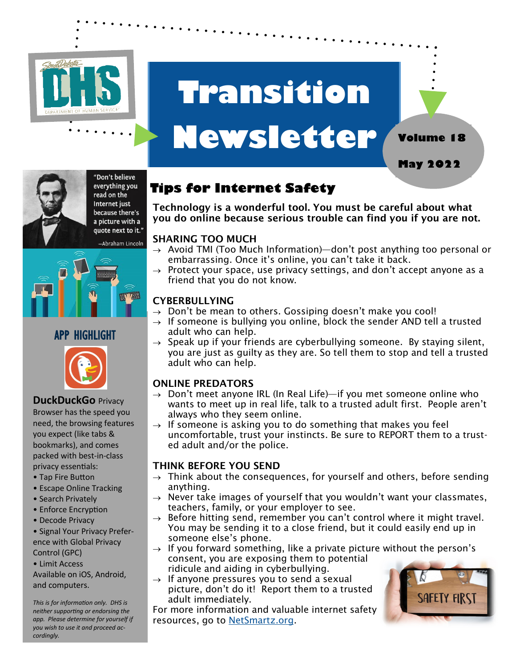

# **Transition**

## **Newsletter Volume 18**

"Don't believe everything you read on the Internet just because there's a picture with a





## APP HIGHLIGHT



## **DuckDuckGo** Privacy

Browser has the speed you need, the browsing features you expect (like tabs & bookmarks), and comes packed with best-in-class privacy essentials:

- Tap Fire Button
- Escape Online Tracking
- Search Privately
- Enforce Encryption
- Decode Privacy
- Signal Your Privacy Preference with Global Privacy Control (GPC)
- Limit Access

Available on iOS, Android, and computers.

*This is for information only. DHS is neither supporting or endorsing the app. Please determine for yourself if you wish to use it and proceed accordingly.* 

## **Tips for Internet Safety**

Technology is a wonderful tool. You must be careful about what you do online because serious trouble can find you if you are not.

#### SHARING TOO MUCH

- $\rightarrow$  Avoid TMI (Too Much Information)—don't post anything too personal or embarrassing. Once it's online, you can't take it back.
- $\rightarrow$  Protect your space, use privacy settings, and don't accept anyone as a friend that you do not know.

### **CYBERBULLYING**

- $\rightarrow$  Don't be mean to others. Gossiping doesn't make you cool!
- $\rightarrow$  If someone is bullying you online, block the sender AND tell a trusted adult who can help.
- $\rightarrow$  Speak up if your friends are cyberbullying someone. By staying silent, you are just as guilty as they are. So tell them to stop and tell a trusted adult who can help.

### ONLINE PREDATORS

- $\rightarrow$  Don't meet anyone IRL (In Real Life)—if you met someone online who wants to meet up in real life, talk to a trusted adult first. People aren't always who they seem online.
- $\rightarrow$  If someone is asking you to do something that makes you feel uncomfortable, trust your instincts. Be sure to REPORT them to a trusted adult and/or the police.

#### THINK BEFORE YOU SEND

- $\rightarrow$  Think about the consequences, for yourself and others, before sending anything.
- $\rightarrow$  Never take images of yourself that you wouldn't want your classmates, teachers, family, or your employer to see.
- $\rightarrow$  Before hitting send, remember you can't control where it might travel. You may be sending it to a close friend, but it could easily end up in someone else's phone.
- $\rightarrow$  If you forward something, like a private picture without the person's consent, you are exposing them to potential ridicule and aiding in cyberbullying.
- $\rightarrow$  If anyone pressures you to send a sexual picture, don't do it! Report them to a trusted adult immediately.

For more information and valuable internet safety resources, go to [NetSmartz.org.](https://www.missingkids.org/NetSmartz)



**May 2022**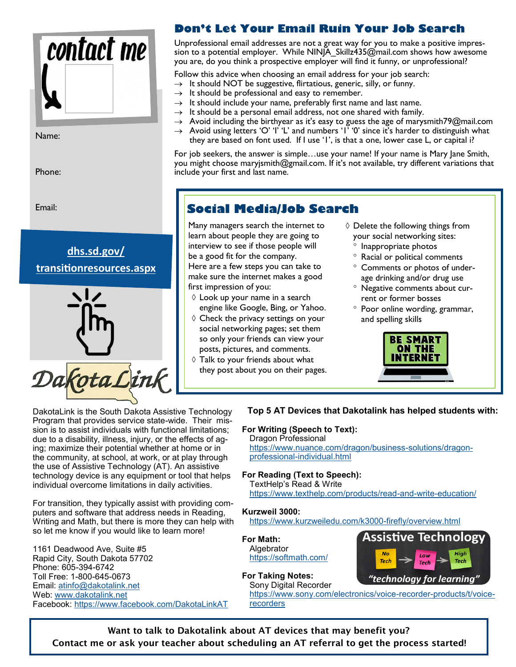

Name:

Phone:

Email:





### **Don't Let Your Email Ruin Your Job Search**

Unprofessional email addresses are not a great way for you to make a positive impression to a potential employer. While NINJA\_Skillz435@mail.com shows how awesome you are, do you think a prospective employer will find it funny, or unprofessional?

Follow this advice when choosing an email address for your job search:

- $\rightarrow$  It should NOT be suggestive, flirtatious, generic, silly, or funny.
- $\rightarrow$  It should be professional and easy to remember.
- $\rightarrow$  It should include your name, preferably first name and last name.
- $\rightarrow$  It should be a personal email address, not one shared with family.
- $\rightarrow$  Avoid including the birthyear as it's easy to guess the age of marysmith79@mail.com  $\rightarrow$  Avoid using letters 'O' 'I' 'L' and numbers 'I' '0' since it's harder to distinguish what
- they are based on font used. If I use '1', is that a one, lower case L, or capital i?

For job seekers, the answer is simple…use your name! If your name is Mary Jane Smith, you might choose maryjsmith@gmail.com. If it's not available, try different variations that include your first and last name.

### **Social Media/Job Search**

Many managers search the internet to learn about people they are going to interview to see if those people will be a good fit for the company. Here are a few steps you can take to make sure the internet makes a good

- first impression of you:  $\Diamond$  Look up your name in a search
- engine like Google, Bing, or Yahoo.  $\diamond$  Check the privacy settings on your social networking pages; set them so only your friends can view your posts, pictures, and comments.
- $\Diamond$  Talk to your friends about what they post about you on their pages.
- $\Diamond$  Delete the following things from your social networking sites:
	- <sup>o</sup> Inappropriate photos
	- Racial or political comments
	- Comments or photos of underage drinking and/or drug use
	- Negative comments about current or former bosses
	- <sup>o</sup> Poor online wording, grammar, and spelling skills



Assistive Technology

High

**Tech** 

DakotaLink is the South Dakota Assistive Technology Program that provides service state-wide. Their mission is to assist individuals with functional limitations; due to a disability, illness, injury, or the effects of aging; maximize their potential whether at home or in the community, at school, at work, or at play through the use of Assistive Technology (AT). An assistive technology device is any equipment or tool that helps individual overcome limitations in daily activities.

For transition, they typically assist with providing computers and software that address needs in Reading, Writing and Math, but there is more they can help with so let me know if you would like to learn more!

1161 Deadwood Ave, Suite #5 Rapid City, South Dakota 57702 Phone: 605-394-6742 Toll Free: 1-800-645-0673 Email: [atinfo@dakotalink.net](mailto:atinfo@dakotalink.net) Web: [www.dakotalink.net](https://nam02.safelinks.protection.outlook.com/?url=http%3A%2F%2Fwww.dakotalink.net%2F&data=04%7C01%7Cphudson%40dakotalink.net%7C30050660aaa9424707b908d8f9d434f0%7C8c56b41f91c5435fbe884548e86b4a97%7C1%7C0%7C637534037132092564%7CUnknown%7CTWFpbGZsb3d8eyJWIjoiM) Facebook: [https://www.facebook.com/DakotaLinkAT](https://nam02.safelinks.protection.outlook.com/?url=https%3A%2F%2Fwww.facebook.com%2FDakotaLinkAT&data=04%7C01%7Cphudson%40dakotalink.net%7C30050660aaa9424707b908d8f9d434f0%7C8c56b41f91c5435fbe884548e86b4a97%7C1%7C0%7C637534037132092564%7CUnknown%7CTWFpbGZsb3)

#### **Top 5 AT Devices that Dakotalink has helped students with:**

#### **For Writing (Speech to Text):**

Dragon Professional [https://www.nuance.com/dragon/business](https://www.nuance.com/dragon/business-solutions/dragon-professional-individual.html)-solutions/dragonprofessional-[individual.html](https://www.nuance.com/dragon/business-solutions/dragon-professional-individual.html)

#### **For Reading (Text to Speech):**

TextHelp's Read & Write [https://www.texthelp.com/products/read](https://www.texthelp.com/products/read-and-write-education/)-and-write-education/

#### **Kurzweil 3000:**

[https://www.kurzweiledu.com/k3000](https://www.kurzweiledu.com/k3000-firefly/overview.html)-firefly/overview.html

#### **For Math:**

Algebrator <https://softmath.com/>

#### **For Taking Notes:**

"technology for learning Sony Digital Recorder [https://www.sony.com/electronics/voice](https://www.sony.com/electronics/voice-recorder-products/t/voice-recorders)-recorder-products/t/voice[recorders](https://www.sony.com/electronics/voice-recorder-products/t/voice-recorders)

Tech

Want to talk to Dakotalink about AT devices that may benefit you? Contact me or ask your teacher about scheduling an AT referral to get the process started!